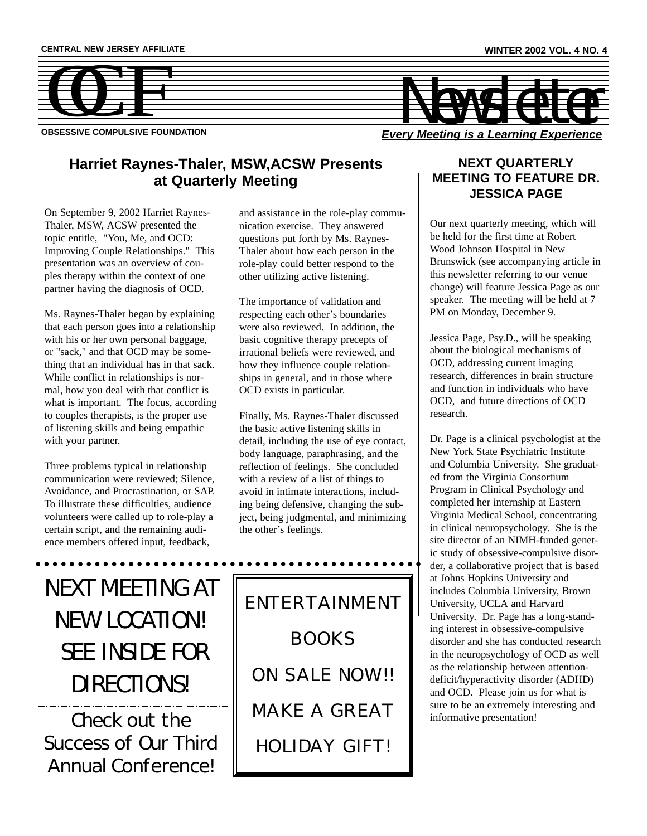

**OBSESSIVE COMPULSIVE FOUNDATION**

### **Harriet Raynes-Thaler, MSW,ACSW Presents at Quarterly Meeting**

On September 9, 2002 Harriet Raynes-Thaler, MSW, ACSW presented the topic entitle, "You, Me, and OCD: Improving Couple Relationships." This presentation was an overview of couples therapy within the context of one partner having the diagnosis of OCD.

Ms. Raynes-Thaler began by explaining that each person goes into a relationship with his or her own personal baggage, or "sack," and that OCD may be something that an individual has in that sack. While conflict in relationships is normal, how you deal with that conflict is what is important. The focus, according to couples therapists, is the proper use of listening skills and being empathic with your partner.

Three problems typical in relationship communication were reviewed; Silence, Avoidance, and Procrastination, or SAP. To illustrate these difficulties, audience volunteers were called up to role-play a certain script, and the remaining audience members offered input, feedback,

and assistance in the role-play communication exercise. They answered questions put forth by Ms. Raynes-Thaler about how each person in the role-play could better respond to the other utilizing active listening.

The importance of validation and respecting each other's boundaries were also reviewed. In addition, the basic cognitive therapy precepts of irrational beliefs were reviewed, and how they influence couple relationships in general, and in those where OCD exists in particular.

Finally, Ms. Raynes-Thaler discussed the basic active listening skills in detail, including the use of eye contact, body language, paraphrasing, and the reflection of feelings. She concluded with a review of a list of things to avoid in intimate interactions, including being defensive, changing the subject, being judgmental, and minimizing the other's feelings.

NEXT MEETING AT NEW LOCATION! SEE INSIDE FOR DIRECTIONS! Check out the Success of Our Third Annual Conference!

ENTERTAINMENT BOOKS ON SALE NOW!! MAKE A GREAT HOLIDAY GIFT!

### **NEXT QUARTERLY MEETING TO FEATURE DR. JESSICA PAGE**

Our next quarterly meeting, which will be held for the first time at Robert Wood Johnson Hospital in New Brunswick (see accompanying article in this newsletter referring to our venue change) will feature Jessica Page as our speaker. The meeting will be held at 7 PM on Monday, December 9.

Jessica Page, Psy.D., will be speaking about the biological mechanisms of OCD, addressing current imaging research, differences in brain structure and function in individuals who have OCD, and future directions of OCD research.

Dr. Page is a clinical psychologist at the New York State Psychiatric Institute and Columbia University. She graduated from the Virginia Consortium Program in Clinical Psychology and completed her internship at Eastern Virginia Medical School, concentrating in clinical neuropsychology. She is the site director of an NIMH-funded genetic study of obsessive-compulsive disorder, a collaborative project that is based at Johns Hopkins University and includes Columbia University, Brown University, UCLA and Harvard University. Dr. Page has a long-standing interest in obsessive-compulsive disorder and she has conducted research in the neuropsychology of OCD as well as the relationship between attentiondeficit/hyperactivity disorder (ADHD) and OCD. Please join us for what is sure to be an extremely interesting and informative presentation!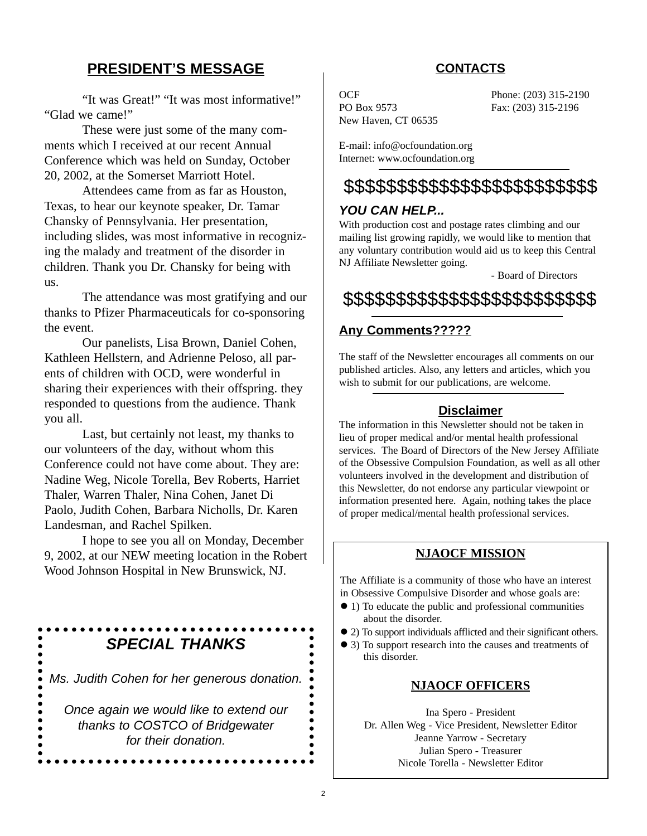### **PRESIDENT'S MESSAGE**

"It was Great!" "It was most informative!" "Glad we came!"

These were just some of the many comments which I received at our recent Annual Conference which was held on Sunday, October 20, 2002, at the Somerset Marriott Hotel.

Attendees came from as far as Houston, Texas, to hear our keynote speaker, Dr. Tamar Chansky of Pennsylvania. Her presentation, including slides, was most informative in recognizing the malady and treatment of the disorder in children. Thank you Dr. Chansky for being with us.

The attendance was most gratifying and our thanks to Pfizer Pharmaceuticals for co-sponsoring the event.

Our panelists, Lisa Brown, Daniel Cohen, Kathleen Hellstern, and Adrienne Peloso, all parents of children with OCD, were wonderful in sharing their experiences with their offspring. they responded to questions from the audience. Thank you all.

Last, but certainly not least, my thanks to our volunteers of the day, without whom this Conference could not have come about. They are: Nadine Weg, Nicole Torella, Bev Roberts, Harriet Thaler, Warren Thaler, Nina Cohen, Janet Di Paolo, Judith Cohen, Barbara Nicholls, Dr. Karen Landesman, and Rachel Spilken.

I hope to see you all on Monday, December 9, 2002, at our NEW meeting location in the Robert Wood Johnson Hospital in New Brunswick, NJ.

## *SPECIAL THANKS*

*Ms. Judith Cohen for her generous donation.*

*Once again we would like to extend our thanks to COSTCO of Bridgewater for their donation.*

 $\bullet$  $\bullet$  $\bullet$  $\bullet$  $\bullet$ 

### **CONTACTS**

PO Box 9573 Fax: (203) 315-2196 New Haven, CT 06535

OCF Phone: (203) 315-2190

E-mail: info@ocfoundation.org Internet: www.ocfoundation.org

## \$\$\$\$\$\$\$\$\$\$\$\$\$\$\$\$\$\$\$\$\$\$\$\$

### *YOU CAN HELP...*

With production cost and postage rates climbing and our mailing list growing rapidly, we would like to mention that any voluntary contribution would aid us to keep this Central NJ Affiliate Newsletter going.

- Board of Directors

\$\$\$\$\$\$\$\$\$\$\$\$\$\$\$\$\$\$\$\$\$\$\$\$

### **Any Comments?????**

The staff of the Newsletter encourages all comments on our published articles. Also, any letters and articles, which you wish to submit for our publications, are welcome.

### **Disclaimer**

The information in this Newsletter should not be taken in lieu of proper medical and/or mental health professional services. The Board of Directors of the New Jersey Affiliate of the Obsessive Compulsion Foundation, as well as all other volunteers involved in the development and distribution of this Newsletter, do not endorse any particular viewpoint or information presented here. Again, nothing takes the place of proper medical/mental health professional services.

### **NJAOCF MISSION**

The Affiliate is a community of those who have an interest in Obsessive Compulsive Disorder and whose goals are:

- ! 1) To educate the public and professional communities about the disorder.
- ! 2) To support individuals afflicted and their significant others.
- ! 3) To support research into the causes and treatments of this disorder.

### **NJAOCF OFFICERS**

Ina Spero - President Dr. Allen Weg - Vice President, Newsletter Editor Jeanne Yarrow - Secretary Julian Spero - Treasurer Nicole Torella - Newsletter Editor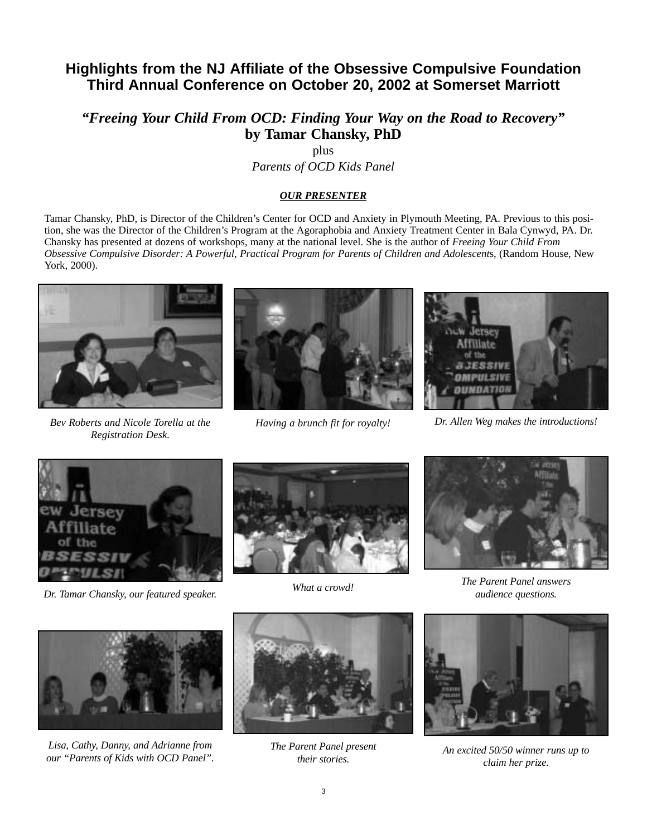### **Highlights from the NJ Affiliate of the Obsessive Compulsive Foundation Third Annual Conference on October 20, 2002 at Somerset Marriott**

*"Freeing Your Child From OCD: Finding Your Way on the Road to Recovery"* **by Tamar Chansky, PhD**

plus

*Parents of OCD Kids Panel*

#### *OUR PRESENTER*

Tamar Chansky, PhD, is Director of the Children's Center for OCD and Anxiety in Plymouth Meeting, PA. Previous to this position, she was the Director of the Children's Program at the Agoraphobia and Anxiety Treatment Center in Bala Cynwyd, PA. Dr. Chansky has presented at dozens of workshops, many at the national level. She is the author of *Freeing Your Child From Obsessive Compulsive Disorder: A Powerful, Practical Program for Parents of Children and Adolescent*s, (Random House, New York, 2000).



*Bev Roberts and Nicole Torella at the Registration Desk.*





*Having a brunch fit for royalty! Dr. Allen Weg makes the introductions!*



*What a crowd! Dr. Tamar Chansky, our featured speaker.*





*The Parent Panel answers audience questions.*



*Lisa, Cathy, Danny, and Adrianne from our "Parents of Kids with OCD Panel".*



*The Parent Panel present their stories.*



*An excited 50/50 winner runs up to claim her prize.*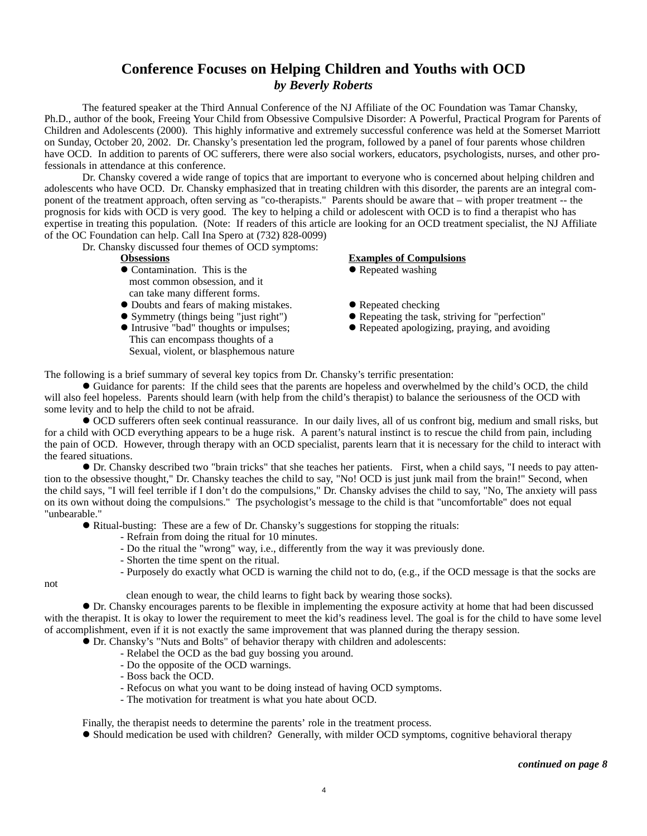### **Conference Focuses on Helping Children and Youths with OCD** *by Beverly Roberts*

The featured speaker at the Third Annual Conference of the NJ Affiliate of the OC Foundation was Tamar Chansky, Ph.D., author of the book, Freeing Your Child from Obsessive Compulsive Disorder: A Powerful, Practical Program for Parents of Children and Adolescents (2000). This highly informative and extremely successful conference was held at the Somerset Marriott on Sunday, October 20, 2002. Dr. Chansky's presentation led the program, followed by a panel of four parents whose children have OCD. In addition to parents of OC sufferers, there were also social workers, educators, psychologists, nurses, and other professionals in attendance at this conference.

Dr. Chansky covered a wide range of topics that are important to everyone who is concerned about helping children and adolescents who have OCD. Dr. Chansky emphasized that in treating children with this disorder, the parents are an integral component of the treatment approach, often serving as "co-therapists." Parents should be aware that – with proper treatment -- the prognosis for kids with OCD is very good. The key to helping a child or adolescent with OCD is to find a therapist who has expertise in treating this population. (Note: If readers of this article are looking for an OCD treatment specialist, the NJ Affiliate of the OC Foundation can help. Call Ina Spero at (732) 828-0099)

Dr. Chansky discussed four themes of OCD symptoms:

- Contamination. This is the <br>• Repeated washing most common obsession, and it can take many different forms.
- Doubts and fears of making mistakes. <br>• Symmetry (things being "just right") Repeating the task,
- 
- This can encompass thoughts of a Sexual, violent, or blasphemous nature

#### **Obsessions Examples of Compulsions**

- 
- 
- Symmetry (things being "just right") <br>• Repeating the task, striving for "perfection" <br>• Repeated apologizing, praying, and avoiding
	- $\bullet$  Repeated apologizing, praying, and avoiding

The following is a brief summary of several key topics from Dr. Chansky's terrific presentation:

! Guidance for parents: If the child sees that the parents are hopeless and overwhelmed by the child's OCD, the child will also feel hopeless. Parents should learn (with help from the child's therapist) to balance the seriousness of the OCD with some levity and to help the child to not be afraid.

! OCD sufferers often seek continual reassurance. In our daily lives, all of us confront big, medium and small risks, but for a child with OCD everything appears to be a huge risk. A parent's natural instinct is to rescue the child from pain, including the pain of OCD. However, through therapy with an OCD specialist, parents learn that it is necessary for the child to interact with the feared situations.

! Dr. Chansky described two "brain tricks" that she teaches her patients. First, when a child says, "I needs to pay attention to the obsessive thought," Dr. Chansky teaches the child to say, "No! OCD is just junk mail from the brain!" Second, when the child says, "I will feel terrible if I don't do the compulsions," Dr. Chansky advises the child to say, "No, The anxiety will pass on its own without doing the compulsions." The psychologist's message to the child is that "uncomfortable" does not equal "unbearable."

- ! Ritual-busting: These are a few of Dr. Chansky's suggestions for stopping the rituals:
	- Refrain from doing the ritual for 10 minutes.
	- Do the ritual the "wrong" way, i.e., differently from the way it was previously done.
	- Shorten the time spent on the ritual.
	- Purposely do exactly what OCD is warning the child not to do, (e.g., if the OCD message is that the socks are

not

clean enough to wear, the child learns to fight back by wearing those socks).

! Dr. Chansky encourages parents to be flexible in implementing the exposure activity at home that had been discussed with the therapist. It is okay to lower the requirement to meet the kid's readiness level. The goal is for the child to have some level of accomplishment, even if it is not exactly the same improvement that was planned during the therapy session.

- ! Dr. Chansky's "Nuts and Bolts" of behavior therapy with children and adolescents:
	- Relabel the OCD as the bad guy bossing you around.
	- Do the opposite of the OCD warnings.
	- Boss back the OCD.
	- Refocus on what you want to be doing instead of having OCD symptoms.
	- The motivation for treatment is what you hate about OCD.

Finally, the therapist needs to determine the parents' role in the treatment process.

! Should medication be used with children? Generally, with milder OCD symptoms, cognitive behavioral therapy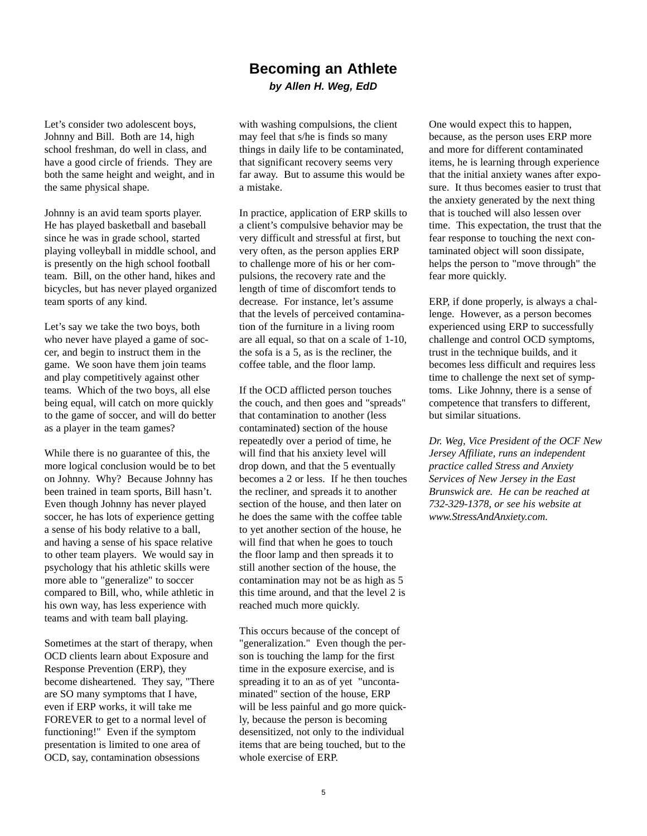### **Becoming an Athlete** *by Allen H. Weg, EdD*

Let's consider two adolescent boys, Johnny and Bill. Both are 14, high school freshman, do well in class, and have a good circle of friends. They are both the same height and weight, and in the same physical shape.

Johnny is an avid team sports player. He has played basketball and baseball since he was in grade school, started playing volleyball in middle school, and is presently on the high school football team. Bill, on the other hand, hikes and bicycles, but has never played organized team sports of any kind.

Let's say we take the two boys, both who never have played a game of soccer, and begin to instruct them in the game. We soon have them join teams and play competitively against other teams. Which of the two boys, all else being equal, will catch on more quickly to the game of soccer, and will do better as a player in the team games?

While there is no guarantee of this, the more logical conclusion would be to bet on Johnny. Why? Because Johnny has been trained in team sports, Bill hasn't. Even though Johnny has never played soccer, he has lots of experience getting a sense of his body relative to a ball, and having a sense of his space relative to other team players. We would say in psychology that his athletic skills were more able to "generalize" to soccer compared to Bill, who, while athletic in his own way, has less experience with teams and with team ball playing.

Sometimes at the start of therapy, when OCD clients learn about Exposure and Response Prevention (ERP), they become disheartened. They say, "There are SO many symptoms that I have, even if ERP works, it will take me FOREVER to get to a normal level of functioning!" Even if the symptom presentation is limited to one area of OCD, say, contamination obsessions

with washing compulsions, the client may feel that s/he is finds so many things in daily life to be contaminated, that significant recovery seems very far away. But to assume this would be a mistake.

In practice, application of ERP skills to a client's compulsive behavior may be very difficult and stressful at first, but very often, as the person applies ERP to challenge more of his or her compulsions, the recovery rate and the length of time of discomfort tends to decrease. For instance, let's assume that the levels of perceived contamination of the furniture in a living room are all equal, so that on a scale of 1-10, the sofa is a 5, as is the recliner, the coffee table, and the floor lamp.

If the OCD afflicted person touches the couch, and then goes and "spreads" that contamination to another (less contaminated) section of the house repeatedly over a period of time, he will find that his anxiety level will drop down, and that the 5 eventually becomes a 2 or less. If he then touches the recliner, and spreads it to another section of the house, and then later on he does the same with the coffee table to yet another section of the house, he will find that when he goes to touch the floor lamp and then spreads it to still another section of the house, the contamination may not be as high as 5 this time around, and that the level 2 is reached much more quickly.

This occurs because of the concept of "generalization." Even though the person is touching the lamp for the first time in the exposure exercise, and is spreading it to an as of yet "uncontaminated" section of the house, ERP will be less painful and go more quickly, because the person is becoming desensitized, not only to the individual items that are being touched, but to the whole exercise of ERP.

One would expect this to happen, because, as the person uses ERP more and more for different contaminated items, he is learning through experience that the initial anxiety wanes after exposure. It thus becomes easier to trust that the anxiety generated by the next thing that is touched will also lessen over time. This expectation, the trust that the fear response to touching the next contaminated object will soon dissipate, helps the person to "move through" the fear more quickly.

ERP, if done properly, is always a challenge. However, as a person becomes experienced using ERP to successfully challenge and control OCD symptoms, trust in the technique builds, and it becomes less difficult and requires less time to challenge the next set of symptoms. Like Johnny, there is a sense of competence that transfers to different, but similar situations.

*Dr. Weg, Vice President of the OCF New Jersey Affiliate, runs an independent practice called Stress and Anxiety Services of New Jersey in the East Brunswick are. He can be reached at 732-329-1378, or see his website at www.StressAndAnxiety.com.*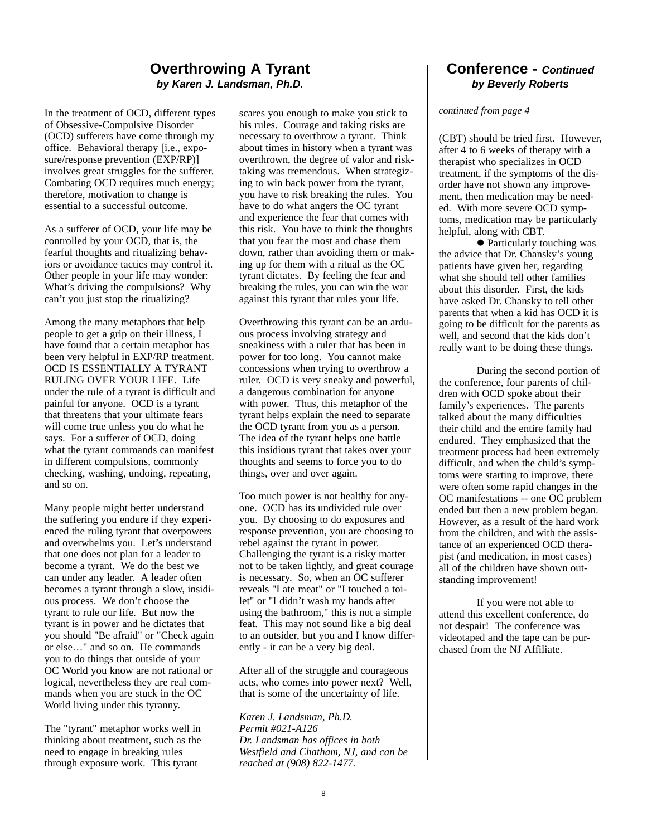### **Overthrowing A Tyrant** *by Karen J. Landsman, Ph.D.*

In the treatment of OCD, different types of Obsessive-Compulsive Disorder (OCD) sufferers have come through my office. Behavioral therapy [i.e., exposure/response prevention (EXP/RP)] involves great struggles for the sufferer. Combating OCD requires much energy; therefore, motivation to change is essential to a successful outcome.

As a sufferer of OCD, your life may be controlled by your OCD, that is, the fearful thoughts and ritualizing behaviors or avoidance tactics may control it. Other people in your life may wonder: What's driving the compulsions? Why can't you just stop the ritualizing?

Among the many metaphors that help people to get a grip on their illness, I have found that a certain metaphor has been very helpful in EXP/RP treatment. OCD IS ESSENTIALLY A TYRANT RULING OVER YOUR LIFE. Life under the rule of a tyrant is difficult and painful for anyone. OCD is a tyrant that threatens that your ultimate fears will come true unless you do what he says. For a sufferer of OCD, doing what the tyrant commands can manifest in different compulsions, commonly checking, washing, undoing, repeating, and so on.

Many people might better understand the suffering you endure if they experienced the ruling tyrant that overpowers and overwhelms you. Let's understand that one does not plan for a leader to become a tyrant. We do the best we can under any leader. A leader often becomes a tyrant through a slow, insidious process. We don't choose the tyrant to rule our life. But now the tyrant is in power and he dictates that you should "Be afraid" or "Check again or else…" and so on. He commands you to do things that outside of your OC World you know are not rational or logical, nevertheless they are real commands when you are stuck in the OC World living under this tyranny.

The "tyrant" metaphor works well in thinking about treatment, such as the need to engage in breaking rules through exposure work. This tyrant

scares you enough to make you stick to his rules. Courage and taking risks are necessary to overthrow a tyrant. Think about times in history when a tyrant was overthrown, the degree of valor and risktaking was tremendous. When strategizing to win back power from the tyrant, you have to risk breaking the rules. You have to do what angers the OC tyrant and experience the fear that comes with this risk. You have to think the thoughts that you fear the most and chase them down, rather than avoiding them or making up for them with a ritual as the OC tyrant dictates. By feeling the fear and breaking the rules, you can win the war against this tyrant that rules your life.

Overthrowing this tyrant can be an arduous process involving strategy and sneakiness with a ruler that has been in power for too long. You cannot make concessions when trying to overthrow a ruler. OCD is very sneaky and powerful, a dangerous combination for anyone with power. Thus, this metaphor of the tyrant helps explain the need to separate the OCD tyrant from you as a person. The idea of the tyrant helps one battle this insidious tyrant that takes over your thoughts and seems to force you to do things, over and over again.

Too much power is not healthy for anyone. OCD has its undivided rule over you. By choosing to do exposures and response prevention, you are choosing to rebel against the tyrant in power. Challenging the tyrant is a risky matter not to be taken lightly, and great courage is necessary. So, when an OC sufferer reveals "I ate meat" or "I touched a toilet" or "I didn't wash my hands after using the bathroom," this is not a simple feat. This may not sound like a big deal to an outsider, but you and I know differently - it can be a very big deal.

After all of the struggle and courageous acts, who comes into power next? Well, that is some of the uncertainty of life.

*Karen J. Landsman, Ph.D. Permit #021-A126 Dr. Landsman has offices in both Westfield and Chatham, NJ, and can be reached at (908) 822-1477.*

#### **Conference -** *Continued by Beverly Roberts*

#### *continued from page 4*

(CBT) should be tried first. However, after 4 to 6 weeks of therapy with a therapist who specializes in OCD treatment, if the symptoms of the disorder have not shown any improvement, then medication may be needed. With more severe OCD symptoms, medication may be particularly helpful, along with CBT.

 $\bullet$  Particularly touching was the advice that Dr. Chansky's young patients have given her, regarding what she should tell other families about this disorder. First, the kids have asked Dr. Chansky to tell other parents that when a kid has OCD it is going to be difficult for the parents as well, and second that the kids don't really want to be doing these things.

During the second portion of the conference, four parents of children with OCD spoke about their family's experiences. The parents talked about the many difficulties their child and the entire family had endured. They emphasized that the treatment process had been extremely difficult, and when the child's symptoms were starting to improve, there were often some rapid changes in the OC manifestations -- one OC problem ended but then a new problem began. However, as a result of the hard work from the children, and with the assistance of an experienced OCD therapist (and medication, in most cases) all of the children have shown outstanding improvement!

If you were not able to attend this excellent conference, do not despair! The conference was videotaped and the tape can be purchased from the NJ Affiliate.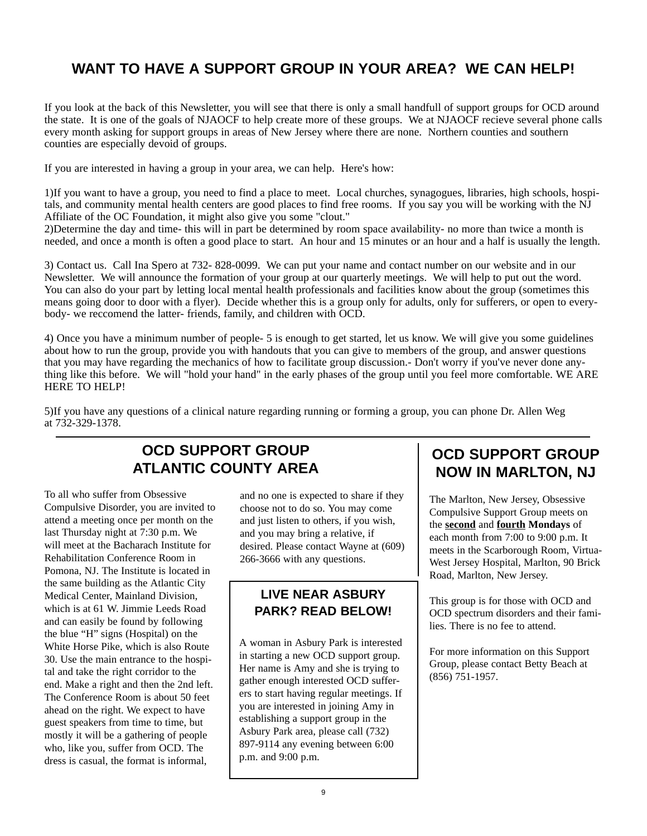## **WANT TO HAVE A SUPPORT GROUP IN YOUR AREA? WE CAN HELP!**

If you look at the back of this Newsletter, you will see that there is only a small handfull of support groups for OCD around the state. It is one of the goals of NJAOCF to help create more of these groups. We at NJAOCF recieve several phone calls every month asking for support groups in areas of New Jersey where there are none. Northern counties and southern counties are especially devoid of groups.

If you are interested in having a group in your area, we can help. Here's how:

1)If you want to have a group, you need to find a place to meet. Local churches, synagogues, libraries, high schools, hospitals, and community mental health centers are good places to find free rooms. If you say you will be working with the NJ Affiliate of the OC Foundation, it might also give you some "clout."

2)Determine the day and time- this will in part be determined by room space availability- no more than twice a month is needed, and once a month is often a good place to start. An hour and 15 minutes or an hour and a half is usually the length.

3) Contact us. Call Ina Spero at 732- 828-0099. We can put your name and contact number on our website and in our Newsletter. We will announce the formation of your group at our quarterly meetings. We will help to put out the word. You can also do your part by letting local mental health professionals and facilities know about the group (sometimes this means going door to door with a flyer). Decide whether this is a group only for adults, only for sufferers, or open to everybody- we reccomend the latter- friends, family, and children with OCD.

4) Once you have a minimum number of people- 5 is enough to get started, let us know. We will give you some guidelines about how to run the group, provide you with handouts that you can give to members of the group, and answer questions that you may have regarding the mechanics of how to facilitate group discussion.- Don't worry if you've never done anything like this before. We will "hold your hand" in the early phases of the group until you feel more comfortable. WE ARE HERE TO HELP!

5)If you have any questions of a clinical nature regarding running or forming a group, you can phone Dr. Allen Weg at 732-329-1378.

## **OCD SUPPORT GROUP ATLANTIC COUNTY AREA**

To all who suffer from Obsessive Compulsive Disorder, you are invited to attend a meeting once per month on the last Thursday night at 7:30 p.m. We will meet at the Bacharach Institute for Rehabilitation Conference Room in Pomona, NJ. The Institute is located in the same building as the Atlantic City Medical Center, Mainland Division, which is at 61 W. Jimmie Leeds Road and can easily be found by following the blue "H" signs (Hospital) on the White Horse Pike, which is also Route 30. Use the main entrance to the hospital and take the right corridor to the end. Make a right and then the 2nd left. The Conference Room is about 50 feet ahead on the right. We expect to have guest speakers from time to time, but mostly it will be a gathering of people who, like you, suffer from OCD. The dress is casual, the format is informal,

and no one is expected to share if they choose not to do so. You may come and just listen to others, if you wish, and you may bring a relative, if desired. Please contact Wayne at (609) 266-3666 with any questions.

### **LIVE NEAR ASBURY PARK? READ BELOW!**

A woman in Asbury Park is interested in starting a new OCD support group. Her name is Amy and she is trying to gather enough interested OCD sufferers to start having regular meetings. If you are interested in joining Amy in establishing a support group in the Asbury Park area, please call (732) 897-9114 any evening between 6:00 p.m. and 9:00 p.m.

### **OCD SUPPORT GROUP NOW IN MARLTON, NJ**

The Marlton, New Jersey, Obsessive Compulsive Support Group meets on the **second** and **fourth Mondays** of each month from 7:00 to 9:00 p.m. It meets in the Scarborough Room, Virtua-West Jersey Hospital, Marlton, 90 Brick Road, Marlton, New Jersey.

This group is for those with OCD and OCD spectrum disorders and their families. There is no fee to attend.

For more information on this Support Group, please contact Betty Beach at (856) 751-1957.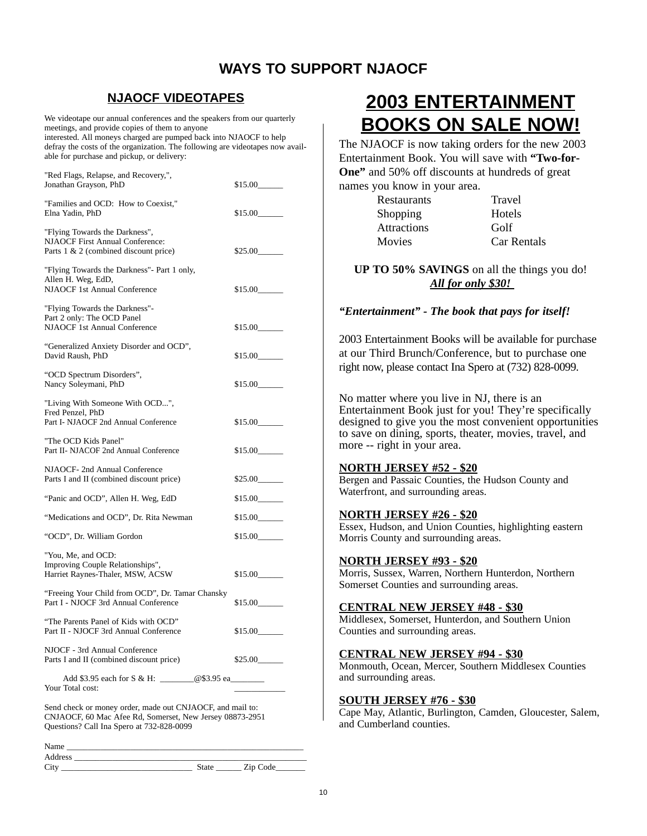### **WAYS TO SUPPORT NJAOCF**

### **NJAOCF VIDEOTAPES**

We videotape our annual conferences and the speakers from our quarterly meetings, and provide copies of them to anyone interested. All moneys charged are pumped back into NJAOCF to help defray the costs of the organization. The following are videotapes now available for purchase and pickup, or delivery:

| "Red Flags, Relapse, and Recovery,",<br>Jonathan Grayson, PhD                                                                                                | \$15.00 |
|--------------------------------------------------------------------------------------------------------------------------------------------------------------|---------|
| "Families and OCD: How to Coexist,"<br>Elna Yadin, PhD                                                                                                       | \$15.00 |
| "Flying Towards the Darkness",<br><b>NJAOCF First Annual Conference:</b><br>Parts $1 \& 2$ (combined discount price)                                         | \$25.00 |
| "Flying Towards the Darkness"- Part 1 only,<br>Allen H. Weg, EdD,<br>NJAOCF 1st Annual Conference                                                            | \$15.00 |
| "Flying Towards the Darkness"-<br>Part 2 only: The OCD Panel<br><b>NJAOCF 1st Annual Conference</b>                                                          | \$15.00 |
| "Generalized Anxiety Disorder and OCD",<br>David Raush, PhD                                                                                                  | \$15.00 |
| "OCD Spectrum Disorders",<br>Nancy Soleymani, PhD                                                                                                            | \$15.00 |
| "Living With Someone With OCD",<br>Fred Penzel. PhD<br>Part I- NJAOCF 2nd Annual Conference                                                                  | \$15.00 |
| "The OCD Kids Panel"<br>Part II- NJACOF 2nd Annual Conference                                                                                                | \$15.00 |
| NJAOCF- 2nd Annual Conference<br>Parts I and II (combined discount price)                                                                                    | \$25.00 |
| "Panic and OCD", Allen H. Weg, EdD                                                                                                                           | \$15.00 |
| "Medications and OCD", Dr. Rita Newman                                                                                                                       | \$15.00 |
| "OCD", Dr. William Gordon                                                                                                                                    | \$15.00 |
| "You, Me, and OCD:<br>Improving Couple Relationships",<br>Harriet Raynes-Thaler, MSW, ACSW                                                                   | \$15.00 |
| "Freeing Your Child from OCD", Dr. Tamar Chansky<br>Part I - NJOCF 3rd Annual Conference                                                                     | \$15.00 |
| "The Parents Panel of Kids with OCD"<br>Part II - NJOCF 3rd Annual Conference                                                                                | \$15.00 |
| NJOCF - 3rd Annual Conference<br>Parts I and II (combined discount price)                                                                                    | \$25.00 |
| Add \$3.95 each for S & H: @\$3.95 ea<br>Your Total cost:                                                                                                    |         |
| Send check or money order, made out CNJAOCF, and mail to:<br>$OCF$ $COM_{12}$ , $M_{22}$ , $D_2$ , $C_{22}$ , $D_3$ , $N_{22}$ , $N_{22}$ , $N_{22}$ , $D_0$ |         |

CNJAOCF, 60 Mac Afee Rd, Somerset, New Jersey 08873-2951 Questions? Call Ina Spero at 732-828-0099

Name \_\_\_\_\_\_\_\_\_\_\_\_\_\_\_\_\_\_\_\_\_\_\_\_\_\_\_\_\_\_\_\_\_\_\_\_\_\_\_\_\_\_\_\_\_\_\_\_\_\_\_\_\_\_\_\_ Address \_

City \_\_\_\_\_\_\_\_\_\_\_\_\_\_\_\_\_\_\_\_\_\_\_\_\_\_\_\_\_\_\_ State \_\_\_\_\_\_ Zip Code\_\_\_\_\_\_\_

# **2003 ENTERTAINMENT BOOKS ON SALE NOW!**

The NJAOCF is now taking orders for the new 2003 Entertainment Book. You will save with **"Two-for-One"** and 50% off discounts at hundreds of great names you know in your area.

| $\sigma$ who we have your and |  |
|-------------------------------|--|
| Restaurants                   |  |
| Shopping                      |  |
| <b>Attractions</b>            |  |
| Movies                        |  |
|                               |  |

Travel Hotels Golf Car Rentals

**UP TO 50% SAVINGS** on all the things you do! *All for only \$30!* 

#### *"Entertainment" - The book that pays for itself!*

2003 Entertainment Books will be available for purchase at our Third Brunch/Conference, but to purchase one right now, please contact Ina Spero at (732) 828-0099.

No matter where you live in NJ, there is an Entertainment Book just for you! They're specifically designed to give you the most convenient opportunities to save on dining, sports, theater, movies, travel, and more -- right in your area.

#### **NORTH JERSEY #52 - \$20**

Bergen and Passaic Counties, the Hudson County and Waterfront, and surrounding areas.

#### **NORTH JERSEY #26 - \$20**

Essex, Hudson, and Union Counties, highlighting eastern Morris County and surrounding areas.

#### **NORTH JERSEY #93 - \$20**

Morris, Sussex, Warren, Northern Hunterdon, Northern Somerset Counties and surrounding areas.

#### **CENTRAL NEW JERSEY #48 - \$30**

Middlesex, Somerset, Hunterdon, and Southern Union Counties and surrounding areas.

#### **CENTRAL NEW JERSEY #94 - \$30**

Monmouth, Ocean, Mercer, Southern Middlesex Counties and surrounding areas.

#### **SOUTH JERSEY #76 - \$30**

Cape May, Atlantic, Burlington, Camden, Gloucester, Salem, and Cumberland counties.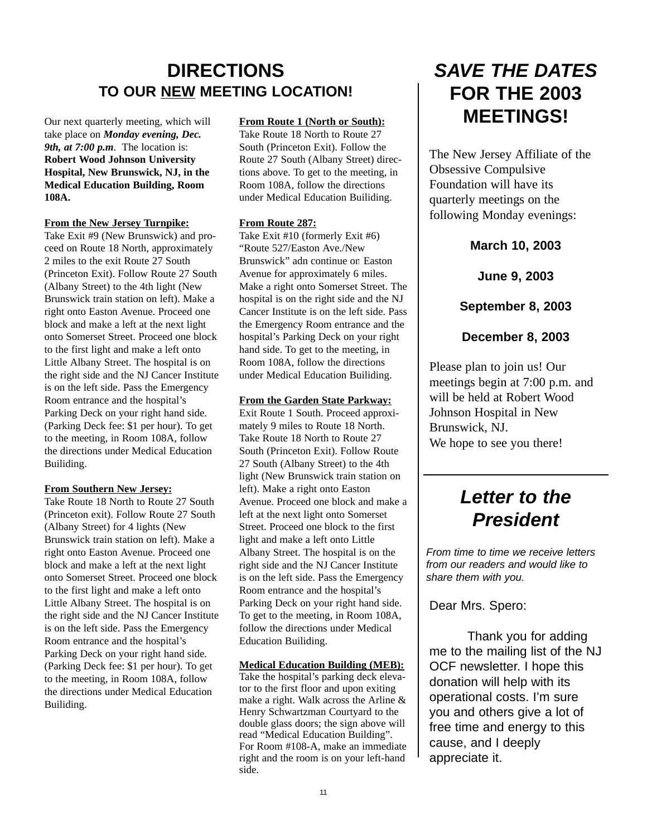## **DIRECTIONS TO OUR NEW MEETING LOCATION!**

Our next quarterly meeting, which will take place on *Monday evening, Dec. 9th, at 7:00 p.m*. The location is: **Robert Wood Johnson University Hospital, New Brunswick, NJ, in the Medical Education Building, Room 108A.**

#### **From the New Jersey Turnpike:**

Take Exit #9 (New Brunswick) and proceed on Route 18 North, approximately 2 miles to the exit Route 27 South (Princeton Exit). Follow Route 27 South (Albany Street) to the 4th light (New Brunswick train station on left). Make a right onto Easton Avenue. Proceed one block and make a left at the next light onto Somerset Street. Proceed one block to the first light and make a left onto Little Albany Street. The hospital is on the right side and the NJ Cancer Institute is on the left side. Pass the Emergency Room entrance and the hospital's Parking Deck on your right hand side. (Parking Deck fee: \$1 per hour). To get to the meeting, in Room 108A, follow the directions under Medical Education Builiding.

#### **From Southern New Jersey:**

Take Route 18 North to Route 27 South (Princeton exit). Follow Route 27 South (Albany Street) for 4 lights (New Brunswick train station on left). Make a right onto Easton Avenue. Proceed one block and make a left at the next light onto Somerset Street. Proceed one block to the first light and make a left onto Little Albany Street. The hospital is on the right side and the NJ Cancer Institute is on the left side. Pass the Emergency Room entrance and the hospital's Parking Deck on your right hand side. (Parking Deck fee: \$1 per hour). To get to the meeting, in Room 108A, follow the directions under Medical Education Builiding.

#### **From Route 1 (North or South):**

Take Route 18 North to Route 27 South (Princeton Exit). Follow the Route 27 South (Albany Street) directions above. To get to the meeting, in Room 108A, follow the directions under Medical Education Builiding.

#### **From Route 287:**

Take Exit #10 (formerly Exit #6) "Route 527/Easton Ave./New Brunswick" adn continue on Easton Avenue for approximately 6 miles. Make a right onto Somerset Street. The hospital is on the right side and the NJ Cancer Institute is on the left side. Pass the Emergency Room entrance and the hospital's Parking Deck on your right hand side. To get to the meeting, in Room 108A, follow the directions under Medical Education Builiding.

#### **From the Garden State Parkway:**

Exit Route 1 South. Proceed approximately 9 miles to Route 18 North. Take Route 18 North to Route 27 South (Princeton Exit). Follow Route 27 South (Albany Street) to the 4th light (New Brunswick train station on left). Make a right onto Easton Avenue. Proceed one block and make a left at the next light onto Somerset Street. Proceed one block to the first light and make a left onto Little Albany Street. The hospital is on the right side and the NJ Cancer Institute is on the left side. Pass the Emergency Room entrance and the hospital's Parking Deck on your right hand side. To get to the meeting, in Room 108A, follow the directions under Medical Education Builiding.

#### **Medical Education Building (MEB):** Take the hospital's parking deck elevator to the first floor and upon exiting make a right. Walk across the Arline & Henry Schwartzman Courtyard to the double glass doors; the sign above will read "Medical Education Building". For Room #108-A, make an immediate right and the room is on your left-hand side.

# *SAVE THE DATES* **FOR THE 2003 MEETINGS!**

The New Jersey Affiliate of the Obsessive Compulsive Foundation will have its quarterly meetings on the following Monday evenings:

**March 10, 2003**

**June 9, 2003**

#### **September 8, 2003**

### **December 8, 2003**

Please plan to join us! Our meetings begin at 7:00 p.m. and will be held at Robert Wood Johnson Hospital in New Brunswick, NJ. We hope to see you there!

## *Letter to the President*

*From time to time we receive letters from our readers and would like to share them with you.*

Dear Mrs. Spero:

Thank you for adding me to the mailing list of the NJ OCF newsletter. I hope this donation will help with its operational costs. I'm sure you and others give a lot of free time and energy to this cause, and I deeply appreciate it.